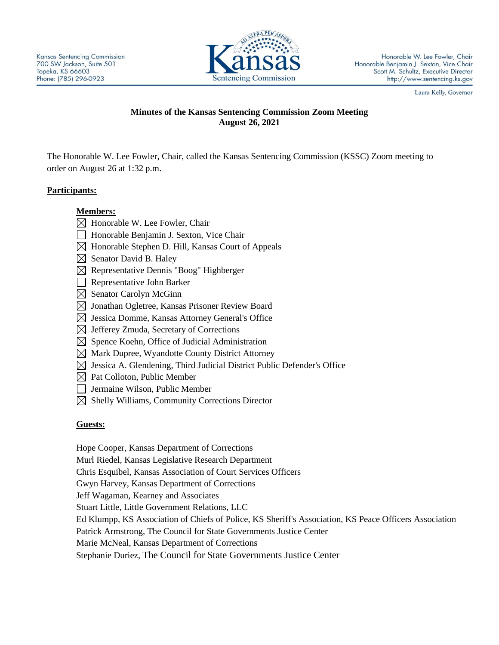

Laura Kelly, Governor

# **Minutes of the Kansas Sentencing Commission Zoom Meeting August 26, 2021**

The Honorable W. Lee Fowler, Chair, called the Kansas Sentencing Commission (KSSC) Zoom meeting to order on August 26 at 1:32 p.m.

# **Participants:**

# **Members:**

- $\boxtimes$  Honorable W. Lee Fowler, Chair
- □ Honorable Benjamin J. Sexton, Vice Chair
- $\boxtimes$  Honorable Stephen D. Hill, Kansas Court of Appeals
- $\boxtimes$  Senator David B. Haley
- $\boxtimes$  Representative Dennis "Boog" Highberger
- Representative John Barker
- $\boxtimes$  Senator Carolyn McGinn
- $\boxtimes$  Jonathan Ogletree, Kansas Prisoner Review Board
- $\boxtimes$  Jessica Domme, Kansas Attorney General's Office
- $\boxtimes$  Jefferey Zmuda, Secretary of Corrections
- $\boxtimes$  Spence Koehn, Office of Judicial Administration
- $\boxtimes$  Mark Dupree, Wyandotte County District Attorney
- $\boxtimes$  Jessica A. Glendening, Third Judicial District Public Defender's Office
- $\boxtimes$  Pat Colloton, Public Member
- Jermaine Wilson, Public Member
- $\boxtimes$  Shelly Williams, Community Corrections Director

## **Guests:**

Hope Cooper, Kansas Department of Corrections Murl Riedel, Kansas Legislative Research Department Chris Esquibel, Kansas Association of Court Services Officers Gwyn Harvey, Kansas Department of Corrections Jeff Wagaman, Kearney and Associates Stuart Little, Little Government Relations, LLC Ed Klumpp, KS Association of Chiefs of Police, KS Sheriff's Association, KS Peace Officers Association Patrick Armstrong, The Council for State Governments Justice Center Marie McNeal, Kansas Department of Corrections Stephanie Duriez, The Council for State Governments Justice Center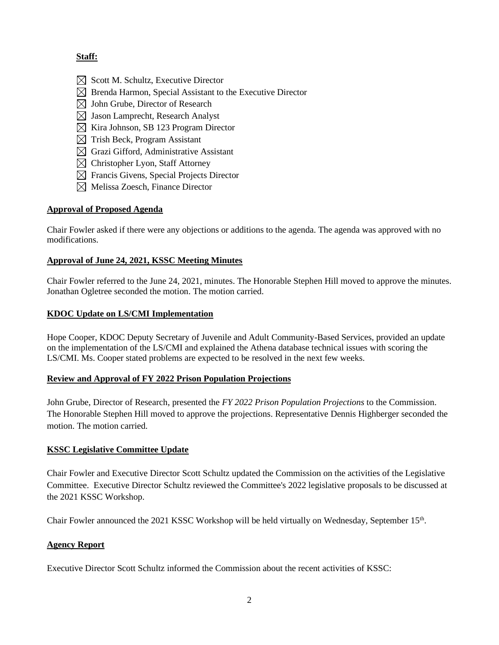# **Staff:**

- $\boxtimes$  Scott M. Schultz, Executive Director
- $\boxtimes$  Brenda Harmon, Special Assistant to the Executive Director
- $\boxtimes$  John Grube, Director of Research
- $\boxtimes$  Jason Lamprecht, Research Analyst
- $\boxtimes$  Kira Johnson, SB 123 Program Director
- $\boxtimes$  Trish Beck, Program Assistant
- $\boxtimes$  Grazi Gifford, Administrative Assistant
- $\boxtimes$  Christopher Lyon, Staff Attorney
- $\boxtimes$  Francis Givens, Special Projects Director
- $\boxtimes$  Melissa Zoesch, Finance Director

#### **Approval of Proposed Agenda**

Chair Fowler asked if there were any objections or additions to the agenda. The agenda was approved with no modifications.

#### **Approval of June 24, 2021, KSSC Meeting Minutes**

Chair Fowler referred to the June 24, 2021, minutes. The Honorable Stephen Hill moved to approve the minutes. Jonathan Ogletree seconded the motion. The motion carried.

## **KDOC Update on LS/CMI Implementation**

Hope Cooper, KDOC Deputy Secretary of Juvenile and Adult Community-Based Services, provided an update on the implementation of the LS/CMI and explained the Athena database technical issues with scoring the LS/CMI. Ms. Cooper stated problems are expected to be resolved in the next few weeks.

## **Review and Approval of FY 2022 Prison Population Projections**

John Grube, Director of Research, presented the *FY 2022 Prison Population Projections* to the Commission. The Honorable Stephen Hill moved to approve the projections. Representative Dennis Highberger seconded the motion. The motion carried.

## **KSSC Legislative Committee Update**

Chair Fowler and Executive Director Scott Schultz updated the Commission on the activities of the Legislative Committee. Executive Director Schultz reviewed the Committee's 2022 legislative proposals to be discussed at the 2021 KSSC Workshop.

Chair Fowler announced the 2021 KSSC Workshop will be held virtually on Wednesday, September 15<sup>th</sup>.

## **Agency Report**

Executive Director Scott Schultz informed the Commission about the recent activities of KSSC: